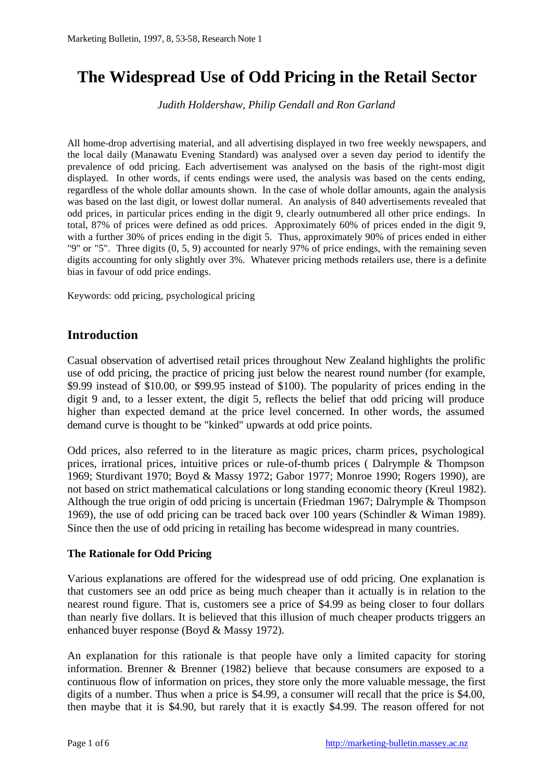# **The Widespread Use of Odd Pricing in the Retail Sector**

*Judith Holdershaw, Philip Gendall and Ron Garland*

All home-drop advertising material, and all advertising displayed in two free weekly newspapers, and the local daily (Manawatu Evening Standard) was analysed over a seven day period to identify the prevalence of odd pricing. Each advertisement was analysed on the basis of the right-most digit displayed. In other words, if cents endings were used, the analysis was based on the cents ending, regardless of the whole dollar amounts shown. In the case of whole dollar amounts, again the analysis was based on the last digit, or lowest dollar numeral. An analysis of 840 advertisements revealed that odd prices, in particular prices ending in the digit 9, clearly outnumbered all other price endings. In total, 87% of prices were defined as odd prices. Approximately 60% of prices ended in the digit 9, with a further 30% of prices ending in the digit 5. Thus, approximately 90% of prices ended in either "9" or "5". Three digits (0, 5, 9) accounted for nearly 97% of price endings, with the remaining seven digits accounting for only slightly over 3%. Whatever pricing methods retailers use, there is a definite bias in favour of odd price endings.

Keywords: odd pricing, psychological pricing

## **Introduction**

Casual observation of advertised retail prices throughout New Zealand highlights the prolific use of odd pricing, the practice of pricing just below the nearest round number (for example, \$9.99 instead of \$10.00, or \$99.95 instead of \$100). The popularity of prices ending in the digit 9 and, to a lesser extent, the digit 5, reflects the belief that odd pricing will produce higher than expected demand at the price level concerned. In other words, the assumed demand curve is thought to be "kinked" upwards at odd price points.

Odd prices, also referred to in the literature as magic prices, charm prices, psychological prices, irrational prices, intuitive prices or rule-of-thumb prices ( Dalrymple & Thompson 1969; Sturdivant 1970; Boyd & Massy 1972; Gabor 1977; Monroe 1990; Rogers 1990), are not based on strict mathematical calculations or long standing economic theory (Kreul 1982). Although the true origin of odd pricing is uncertain (Friedman 1967; Dalrymple & Thompson 1969), the use of odd pricing can be traced back over 100 years (Schindler & Wiman 1989). Since then the use of odd pricing in retailing has become widespread in many countries.

#### **The Rationale for Odd Pricing**

Various explanations are offered for the widespread use of odd pricing. One explanation is that customers see an odd price as being much cheaper than it actually is in relation to the nearest round figure. That is, customers see a price of \$4.99 as being closer to four dollars than nearly five dollars. It is believed that this illusion of much cheaper products triggers an enhanced buyer response (Boyd & Massy 1972).

An explanation for this rationale is that people have only a limited capacity for storing information. Brenner & Brenner (1982) believe that because consumers are exposed to a continuous flow of information on prices, they store only the more valuable message, the first digits of a number. Thus when a price is \$4.99, a consumer will recall that the price is \$4.00, then maybe that it is \$4.90, but rarely that it is exactly \$4.99. The reason offered for not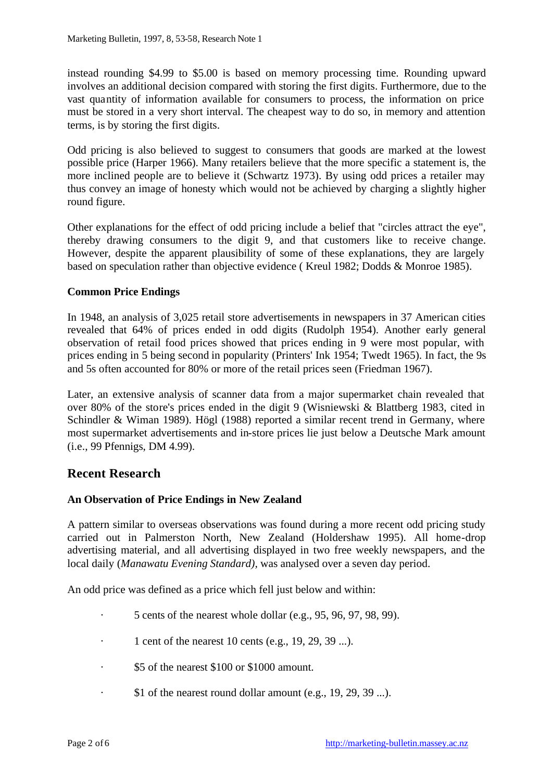instead rounding \$4.99 to \$5.00 is based on memory processing time. Rounding upward involves an additional decision compared with storing the first digits. Furthermore, due to the vast quantity of information available for consumers to process, the information on price must be stored in a very short interval. The cheapest way to do so, in memory and attention terms, is by storing the first digits.

Odd pricing is also believed to suggest to consumers that goods are marked at the lowest possible price (Harper 1966). Many retailers believe that the more specific a statement is, the more inclined people are to believe it (Schwartz 1973). By using odd prices a retailer may thus convey an image of honesty which would not be achieved by charging a slightly higher round figure.

Other explanations for the effect of odd pricing include a belief that "circles attract the eye", thereby drawing consumers to the digit 9, and that customers like to receive change. However, despite the apparent plausibility of some of these explanations, they are largely based on speculation rather than objective evidence ( Kreul 1982; Dodds & Monroe 1985).

#### **Common Price Endings**

In 1948, an analysis of 3,025 retail store advertisements in newspapers in 37 American cities revealed that 64% of prices ended in odd digits (Rudolph 1954). Another early general observation of retail food prices showed that prices ending in 9 were most popular, with prices ending in 5 being second in popularity (Printers' Ink 1954; Twedt 1965). In fact, the 9s and 5s often accounted for 80% or more of the retail prices seen (Friedman 1967).

Later, an extensive analysis of scanner data from a major supermarket chain revealed that over 80% of the store's prices ended in the digit 9 (Wisniewski & Blattberg 1983, cited in Schindler & Wiman 1989). Högl (1988) reported a similar recent trend in Germany, where most supermarket advertisements and in-store prices lie just below a Deutsche Mark amount (i.e., 99 Pfennigs, DM 4.99).

### **Recent Research**

#### **An Observation of Price Endings in New Zealand**

A pattern similar to overseas observations was found during a more recent odd pricing study carried out in Palmerston North, New Zealand (Holdershaw 1995). All home-drop advertising material, and all advertising displayed in two free weekly newspapers, and the local daily (*Manawatu Evening Standard),* was analysed over a seven day period.

An odd price was defined as a price which fell just below and within:

- · 5 cents of the nearest whole dollar (e.g., 95, 96, 97, 98, 99).
- $\cdot$  1 cent of the nearest 10 cents (e.g., 19, 29, 39 ...).
- · \$5 of the nearest \$100 or \$1000 amount.
- \$1 of the nearest round dollar amount (e.g.,  $19, 29, 39$  ...).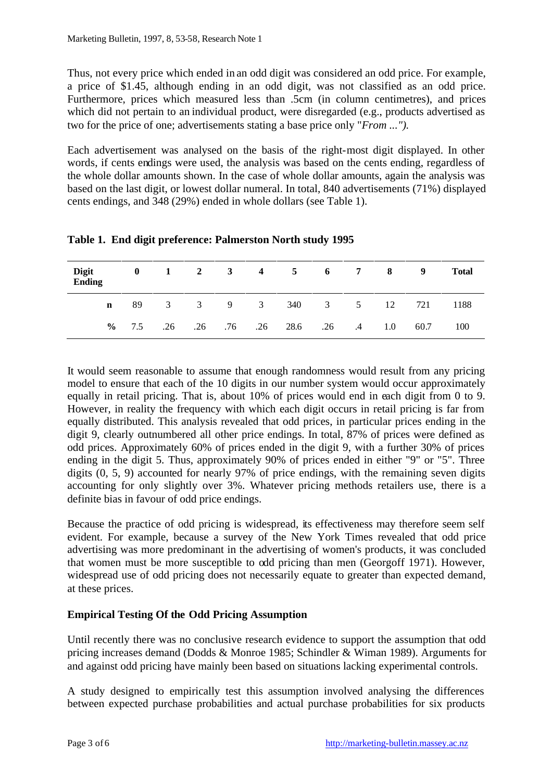Thus, not every price which ended in an odd digit was considered an odd price. For example, a price of \$1.45, although ending in an odd digit, was not classified as an odd price. Furthermore, prices which measured less than .5cm (in column centimetres), and prices which did not pertain to an individual product, were disregarded (e.g., products advertised as two for the price of one; advertisements stating a base price only "*From ...").* 

Each advertisement was analysed on the basis of the right-most digit displayed. In other words, if cents endings were used, the analysis was based on the cents ending, regardless of the whole dollar amounts shown. In the case of whole dollar amounts, again the analysis was based on the last digit, or lowest dollar numeral. In total, 840 advertisements (71%) displayed cents endings, and 348 (29%) ended in whole dollars (see Table 1).

| Digit<br><b>Ending</b> | $\bf{0}$ |  |  | $1$ $2$ $3$ $4$ $5$ $6$ $7$ $8$ |  |     | 9    | <b>Total</b> |
|------------------------|----------|--|--|---------------------------------|--|-----|------|--------------|
| $\mathbf n$            |          |  |  | 89 3 3 9 3 340 3 5              |  | 12  | 721  | 1188         |
|                        | $\%$ 7.5 |  |  | .26 .26 .76 .26 28.6 .26 .4     |  | 1.0 | 60.7 | 100          |

**Table 1. End digit preference: Palmerston North study 1995**

It would seem reasonable to assume that enough randomness would result from any pricing model to ensure that each of the 10 digits in our number system would occur approximately equally in retail pricing. That is, about 10% of prices would end in each digit from 0 to 9. However, in reality the frequency with which each digit occurs in retail pricing is far from equally distributed. This analysis revealed that odd prices, in particular prices ending in the digit 9, clearly outnumbered all other price endings. In total, 87% of prices were defined as odd prices. Approximately 60% of prices ended in the digit 9, with a further 30% of prices ending in the digit 5. Thus, approximately 90% of prices ended in either "9" or "5". Three digits (0, 5, 9) accounted for nearly 97% of price endings, with the remaining seven digits accounting for only slightly over 3%. Whatever pricing methods retailers use, there is a definite bias in favour of odd price endings.

Because the practice of odd pricing is widespread, its effectiveness may therefore seem self evident. For example, because a survey of the New York Times revealed that odd price advertising was more predominant in the advertising of women's products, it was concluded that women must be more susceptible to odd pricing than men (Georgoff 1971). However, widespread use of odd pricing does not necessarily equate to greater than expected demand, at these prices.

### **Empirical Testing Of the Odd Pricing Assumption**

Until recently there was no conclusive research evidence to support the assumption that odd pricing increases demand (Dodds & Monroe 1985; Schindler & Wiman 1989). Arguments for and against odd pricing have mainly been based on situations lacking experimental controls.

A study designed to empirically test this assumption involved analysing the differences between expected purchase probabilities and actual purchase probabilities for six products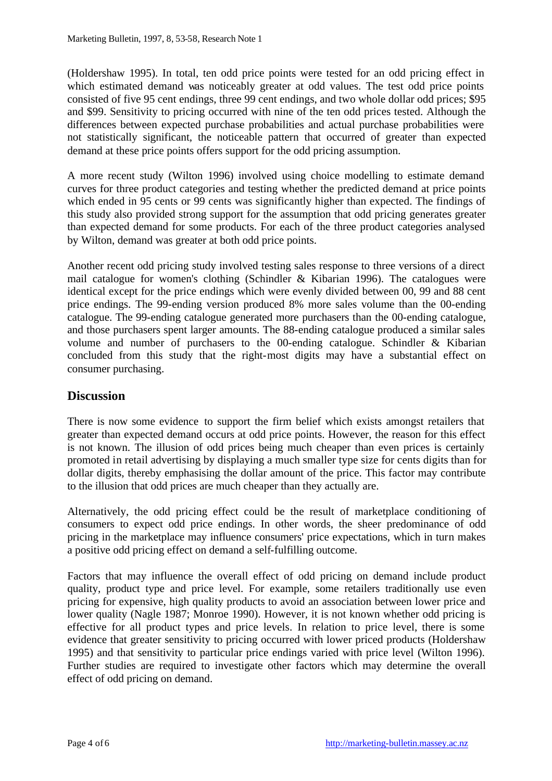(Holdershaw 1995). In total, ten odd price points were tested for an odd pricing effect in which estimated demand was noticeably greater at odd values. The test odd price points consisted of five 95 cent endings, three 99 cent endings, and two whole dollar odd prices; \$95 and \$99. Sensitivity to pricing occurred with nine of the ten odd prices tested. Although the differences between expected purchase probabilities and actual purchase probabilities were not statistically significant, the noticeable pattern that occurred of greater than expected demand at these price points offers support for the odd pricing assumption.

A more recent study (Wilton 1996) involved using choice modelling to estimate demand curves for three product categories and testing whether the predicted demand at price points which ended in 95 cents or 99 cents was significantly higher than expected. The findings of this study also provided strong support for the assumption that odd pricing generates greater than expected demand for some products. For each of the three product categories analysed by Wilton, demand was greater at both odd price points.

Another recent odd pricing study involved testing sales response to three versions of a direct mail catalogue for women's clothing (Schindler & Kibarian 1996). The catalogues were identical except for the price endings which were evenly divided between 00, 99 and 88 cent price endings. The 99-ending version produced 8% more sales volume than the 00-ending catalogue. The 99-ending catalogue generated more purchasers than the 00-ending catalogue, and those purchasers spent larger amounts. The 88-ending catalogue produced a similar sales volume and number of purchasers to the 00-ending catalogue. Schindler & Kibarian concluded from this study that the right-most digits may have a substantial effect on consumer purchasing.

### **Discussion**

There is now some evidence to support the firm belief which exists amongst retailers that greater than expected demand occurs at odd price points. However, the reason for this effect is not known. The illusion of odd prices being much cheaper than even prices is certainly promoted in retail advertising by displaying a much smaller type size for cents digits than for dollar digits, thereby emphasising the dollar amount of the price. This factor may contribute to the illusion that odd prices are much cheaper than they actually are.

Alternatively, the odd pricing effect could be the result of marketplace conditioning of consumers to expect odd price endings. In other words, the sheer predominance of odd pricing in the marketplace may influence consumers' price expectations, which in turn makes a positive odd pricing effect on demand a self-fulfilling outcome.

Factors that may influence the overall effect of odd pricing on demand include product quality, product type and price level. For example, some retailers traditionally use even pricing for expensive, high quality products to avoid an association between lower price and lower quality (Nagle 1987; Monroe 1990). However, it is not known whether odd pricing is effective for all product types and price levels. In relation to price level, there is some evidence that greater sensitivity to pricing occurred with lower priced products (Holdershaw 1995) and that sensitivity to particular price endings varied with price level (Wilton 1996). Further studies are required to investigate other factors which may determine the overall effect of odd pricing on demand.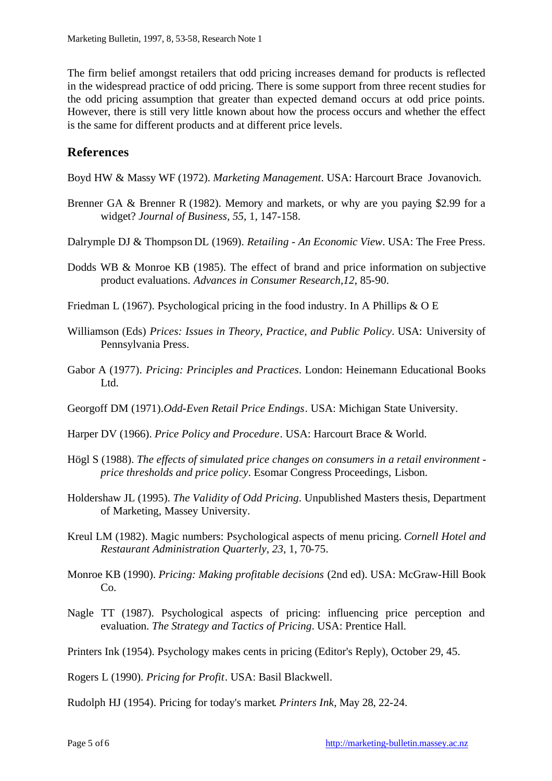The firm belief amongst retailers that odd pricing increases demand for products is reflected in the widespread practice of odd pricing. There is some support from three recent studies for the odd pricing assumption that greater than expected demand occurs at odd price points. However, there is still very little known about how the process occurs and whether the effect is the same for different products and at different price levels.

## **References**

Boyd HW & Massy WF (1972). *Marketing Management*. USA: Harcourt Brace Jovanovich.

- Brenner GA & Brenner R (1982). Memory and markets, or why are you paying \$2.99 for a widget? *Journal of Business, 55*, 1, 147-158.
- Dalrymple DJ & Thompson DL (1969). *Retailing An Economic View*. USA: The Free Press.
- Dodds WB & Monroe KB (1985). The effect of brand and price information on subjective product evaluations. *Advances in Consumer Research,12*, 85-90.
- Friedman L (1967). Psychological pricing in the food industry. In A Phillips & O E
- Williamson (Eds) *Prices: Issues in Theory, Practice, and Public Policy*. USA: University of Pennsylvania Press.
- Gabor A (1977). *Pricing: Principles and Practices*. London: Heinemann Educational Books Ltd.
- Georgoff DM (1971).*Odd-Even Retail Price Endings*. USA: Michigan State University.
- Harper DV (1966). *Price Policy and Procedure*. USA: Harcourt Brace & World.
- Högl S (1988). *The effects of simulated price changes on consumers in a retail environment price thresholds and price policy*. Esomar Congress Proceedings, Lisbon.
- Holdershaw JL (1995). *The Validity of Odd Pricing*. Unpublished Masters thesis, Department of Marketing, Massey University.
- Kreul LM (1982). Magic numbers: Psychological aspects of menu pricing. *Cornell Hotel and Restaurant Administration Quarterly, 23*, 1, 70-75.
- Monroe KB (1990). *Pricing: Making profitable decisions* (2nd ed). USA: McGraw-Hill Book Co.
- Nagle TT (1987). Psychological aspects of pricing: influencing price perception and evaluation. *The Strategy and Tactics of Pricing*. USA: Prentice Hall.
- Printers Ink (1954). Psychology makes cents in pricing (Editor's Reply), October 29, 45.

Rogers L (1990). *Pricing for Profit*. USA: Basil Blackwell.

Rudolph HJ (1954). Pricing for today's market. *Printers Ink*, May 28, 22-24.